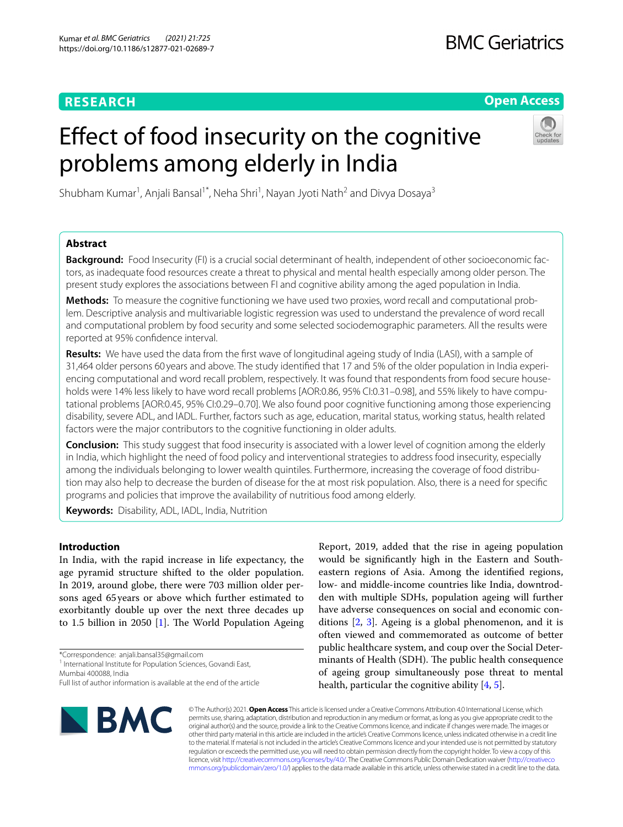# **RESEARCH**

# **Open Access**

# Efect of food insecurity on the cognitive problems among elderly in India



Shubham Kumar<sup>1</sup>, Anjali Bansal<sup>1\*</sup>, Neha Shri<sup>1</sup>, Nayan Jyoti Nath<sup>2</sup> and Divya Dosaya<sup>3</sup>

# **Abstract**

**Background:** Food Insecurity (FI) is a crucial social determinant of health, independent of other socioeconomic factors, as inadequate food resources create a threat to physical and mental health especially among older person. The present study explores the associations between FI and cognitive ability among the aged population in India.

**Methods:** To measure the cognitive functioning we have used two proxies, word recall and computational problem. Descriptive analysis and multivariable logistic regression was used to understand the prevalence of word recall and computational problem by food security and some selected sociodemographic parameters. All the results were reported at 95% confdence interval.

**Results:** We have used the data from the frst wave of longitudinal ageing study of India (LASI), with a sample of 31,464 older persons 60 years and above. The study identifed that 17 and 5% of the older population in India experiencing computational and word recall problem, respectively. It was found that respondents from food secure households were 14% less likely to have word recall problems [AOR:0.86, 95% CI:0.31-0.98], and 55% likely to have computational problems [AOR:0.45, 95% CI:0.29–0.70]. We also found poor cognitive functioning among those experiencing disability, severe ADL, and IADL. Further, factors such as age, education, marital status, working status, health related factors were the major contributors to the cognitive functioning in older adults.

**Conclusion:** This study suggest that food insecurity is associated with a lower level of cognition among the elderly in India, which highlight the need of food policy and interventional strategies to address food insecurity, especially among the individuals belonging to lower wealth quintiles. Furthermore, increasing the coverage of food distribution may also help to decrease the burden of disease for the at most risk population. Also, there is a need for specifc programs and policies that improve the availability of nutritious food among elderly.

**Keywords:** Disability, ADL, IADL, India, Nutrition

## **Introduction**

In India, with the rapid increase in life expectancy, the age pyramid structure shifted to the older population. In 2019, around globe, there were 703 million older persons aged 65years or above which further estimated to exorbitantly double up over the next three decades up to [1](#page-8-0).5 billion in 2050  $[1]$ . The World Population Ageing

Mumbai 400088, India

**BMC** 

Report, 2019, added that the rise in ageing population would be signifcantly high in the Eastern and Southeastern regions of Asia. Among the identifed regions, low- and middle-income countries like India, downtrodden with multiple SDHs, population ageing will further have adverse consequences on social and economic conditions [[2,](#page-8-1) [3](#page-8-2)]. Ageing is a global phenomenon, and it is often viewed and commemorated as outcome of better public healthcare system, and coup over the Social Determinants of Health (SDH). The public health consequence of ageing group simultaneously pose threat to mental health, particular the cognitive ability [[4,](#page-8-3) [5](#page-8-4)].

© The Author(s) 2021. **Open Access** This article is licensed under a Creative Commons Attribution 4.0 International License, which permits use, sharing, adaptation, distribution and reproduction in any medium or format, as long as you give appropriate credit to the original author(s) and the source, provide a link to the Creative Commons licence, and indicate if changes were made. The images or other third party material in this article are included in the article's Creative Commons licence, unless indicated otherwise in a credit line to the material. If material is not included in the article's Creative Commons licence and your intended use is not permitted by statutory regulation or exceeds the permitted use, you will need to obtain permission directly from the copyright holder. To view a copy of this licence, visit [http://creativecommons.org/licenses/by/4.0/.](http://creativecommons.org/licenses/by/4.0/) The Creative Commons Public Domain Dedication waiver ([http://creativeco](http://creativecommons.org/publicdomain/zero/1.0/) [mmons.org/publicdomain/zero/1.0/](http://creativecommons.org/publicdomain/zero/1.0/)) applies to the data made available in this article, unless otherwise stated in a credit line to the data.

<sup>\*</sup>Correspondence: anjali.bansal35@gmail.com

<sup>&</sup>lt;sup>1</sup> International Institute for Population Sciences, Govandi East,

Full list of author information is available at the end of the article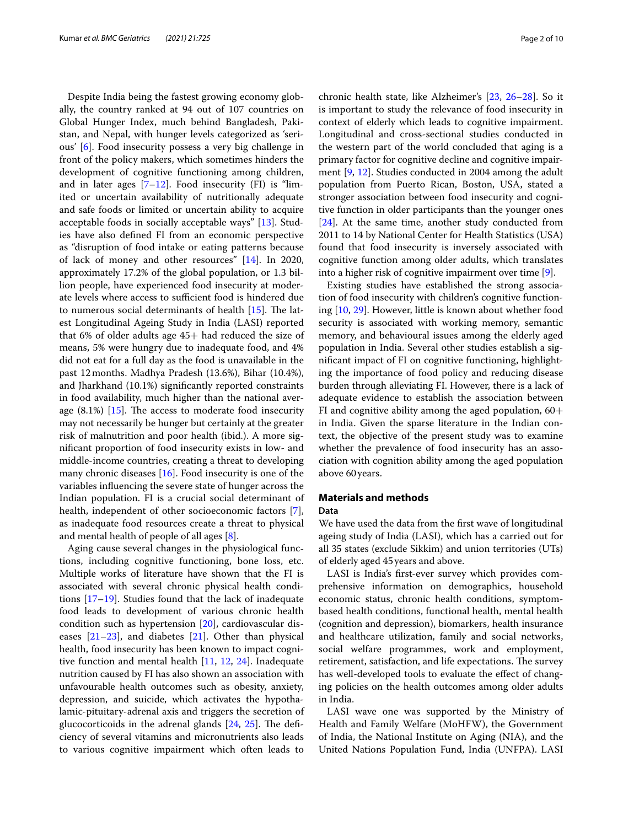Despite India being the fastest growing economy globally, the country ranked at 94 out of 107 countries on Global Hunger Index, much behind Bangladesh, Pakistan, and Nepal, with hunger levels categorized as 'serious' [[6\]](#page-8-5). Food insecurity possess a very big challenge in front of the policy makers, which sometimes hinders the development of cognitive functioning among children, and in later ages  $[7-12]$  $[7-12]$  $[7-12]$ . Food insecurity (FI) is "limited or uncertain availability of nutritionally adequate and safe foods or limited or uncertain ability to acquire acceptable foods in socially acceptable ways" [[13](#page-8-8)]. Studies have also defned FI from an economic perspective as "disruption of food intake or eating patterns because of lack of money and other resources" [[14\]](#page-8-9). In 2020, approximately 17.2% of the global population, or 1.3 billion people, have experienced food insecurity at moderate levels where access to sufficient food is hindered due to numerous social determinants of health  $[15]$ . The latest Longitudinal Ageing Study in India (LASI) reported that 6% of older adults age 45+ had reduced the size of means, 5% were hungry due to inadequate food, and 4% did not eat for a full day as the food is unavailable in the past 12months. Madhya Pradesh (13.6%), Bihar (10.4%), and Jharkhand (10.1%) signifcantly reported constraints in food availability, much higher than the national average  $(8.1\%)$  [\[15\]](#page-8-10). The access to moderate food insecurity may not necessarily be hunger but certainly at the greater risk of malnutrition and poor health (ibid.). A more signifcant proportion of food insecurity exists in low- and middle-income countries, creating a threat to developing many chronic diseases [[16\]](#page-8-11). Food insecurity is one of the variables infuencing the severe state of hunger across the Indian population. FI is a crucial social determinant of health, independent of other socioeconomic factors [\[7](#page-8-6)], as inadequate food resources create a threat to physical and mental health of people of all ages [\[8\]](#page-8-12).

Aging cause several changes in the physiological functions, including cognitive functioning, bone loss, etc. Multiple works of literature have shown that the FI is associated with several chronic physical health conditions [[17](#page-8-13)[–19](#page-8-14)]. Studies found that the lack of inadequate food leads to development of various chronic health condition such as hypertension [[20\]](#page-8-15), cardiovascular diseases  $[21-23]$  $[21-23]$ , and diabetes  $[21]$  $[21]$ . Other than physical health, food insecurity has been known to impact cognitive function and mental health [\[11](#page-8-18), [12,](#page-8-7) [24](#page-8-19)]. Inadequate nutrition caused by FI has also shown an association with unfavourable health outcomes such as obesity, anxiety, depression, and suicide, which activates the hypothalamic-pituitary-adrenal axis and triggers the secretion of glucocorticoids in the adrenal glands  $[24, 25]$  $[24, 25]$  $[24, 25]$ . The deficiency of several vitamins and micronutrients also leads to various cognitive impairment which often leads to chronic health state, like Alzheimer's [[23,](#page-8-17) [26–](#page-8-21)[28](#page-8-22)]. So it is important to study the relevance of food insecurity in context of elderly which leads to cognitive impairment. Longitudinal and cross-sectional studies conducted in the western part of the world concluded that aging is a primary factor for cognitive decline and cognitive impairment [[9,](#page-8-23) [12\]](#page-8-7). Studies conducted in 2004 among the adult population from Puerto Rican, Boston, USA, stated a stronger association between food insecurity and cognitive function in older participants than the younger ones [[24\]](#page-8-19). At the same time, another study conducted from 2011 to 14 by National Center for Health Statistics (USA) found that food insecurity is inversely associated with cognitive function among older adults, which translates into a higher risk of cognitive impairment over time [\[9](#page-8-23)].

Existing studies have established the strong association of food insecurity with children's cognitive functioning [\[10](#page-8-24), [29\]](#page-8-25). However, little is known about whether food security is associated with working memory, semantic memory, and behavioural issues among the elderly aged population in India. Several other studies establish a signifcant impact of FI on cognitive functioning, highlighting the importance of food policy and reducing disease burden through alleviating FI. However, there is a lack of adequate evidence to establish the association between FI and cognitive ability among the aged population,  $60+$ in India. Given the sparse literature in the Indian context, the objective of the present study was to examine whether the prevalence of food insecurity has an association with cognition ability among the aged population above 60years.

#### **Materials and methods Data**

We have used the data from the frst wave of longitudinal ageing study of India (LASI), which has a carried out for all 35 states (exclude Sikkim) and union territories (UTs) of elderly aged 45years and above.

LASI is India's frst-ever survey which provides comprehensive information on demographics, household economic status, chronic health conditions, symptombased health conditions, functional health, mental health (cognition and depression), biomarkers, health insurance and healthcare utilization, family and social networks, social welfare programmes, work and employment, retirement, satisfaction, and life expectations. The survey has well-developed tools to evaluate the effect of changing policies on the health outcomes among older adults in India.

LASI wave one was supported by the Ministry of Health and Family Welfare (MoHFW), the Government of India, the National Institute on Aging (NIA), and the United Nations Population Fund, India (UNFPA). LASI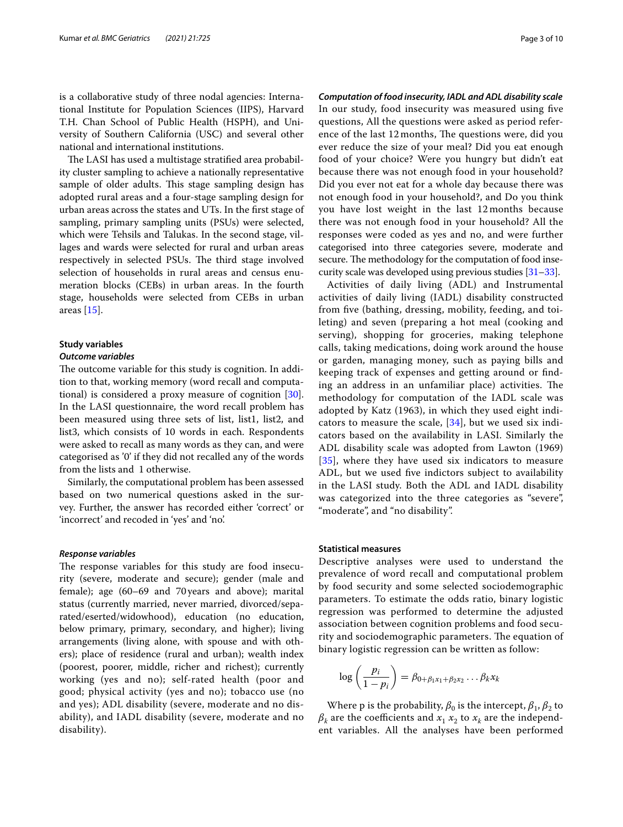is a collaborative study of three nodal agencies: International Institute for Population Sciences (IIPS), Harvard T.H. Chan School of Public Health (HSPH), and University of Southern California (USC) and several other national and international institutions.

The LASI has used a multistage stratified area probability cluster sampling to achieve a nationally representative sample of older adults. This stage sampling design has adopted rural areas and a four-stage sampling design for urban areas across the states and UTs. In the frst stage of sampling, primary sampling units (PSUs) were selected, which were Tehsils and Talukas. In the second stage, villages and wards were selected for rural and urban areas respectively in selected PSUs. The third stage involved selection of households in rural areas and census enumeration blocks (CEBs) in urban areas. In the fourth stage, households were selected from CEBs in urban areas [\[15](#page-8-10)].

#### **Study variables**

#### *Outcome variables*

The outcome variable for this study is cognition. In addition to that, working memory (word recall and computational) is considered a proxy measure of cognition [\[30](#page-8-26)]. In the LASI questionnaire, the word recall problem has been measured using three sets of list, list1, list2, and list3, which consists of 10 words in each. Respondents were asked to recall as many words as they can, and were categorised as '0' if they did not recalled any of the words from the lists and 1 otherwise.

Similarly, the computational problem has been assessed based on two numerical questions asked in the survey. Further, the answer has recorded either 'correct' or 'incorrect' and recoded in 'yes' and 'no'.

#### *Response variables*

The response variables for this study are food insecurity (severe, moderate and secure); gender (male and female); age (60–69 and 70years and above); marital status (currently married, never married, divorced/separated/eserted/widowhood), education (no education, below primary, primary, secondary, and higher); living arrangements (living alone, with spouse and with others); place of residence (rural and urban); wealth index (poorest, poorer, middle, richer and richest); currently working (yes and no); self-rated health (poor and good; physical activity (yes and no); tobacco use (no and yes); ADL disability (severe, moderate and no disability), and IADL disability (severe, moderate and no disability).

*Computation of food insecurity, IADL and ADL disability scale* In our study, food insecurity was measured using fve questions, All the questions were asked as period reference of the last 12 months, The questions were, did you ever reduce the size of your meal? Did you eat enough food of your choice? Were you hungry but didn't eat because there was not enough food in your household? Did you ever not eat for a whole day because there was not enough food in your household?, and Do you think you have lost weight in the last 12 months because there was not enough food in your household? All the responses were coded as yes and no, and were further categorised into three categories severe, moderate and secure. The methodology for the computation of food insecurity scale was developed using previous studies [\[31–](#page-8-27)[33](#page-8-28)].

Activities of daily living (ADL) and Instrumental activities of daily living (IADL) disability constructed from fve (bathing, dressing, mobility, feeding, and toileting) and seven (preparing a hot meal (cooking and serving), shopping for groceries, making telephone calls, taking medications, doing work around the house or garden, managing money, such as paying bills and keeping track of expenses and getting around or fnding an address in an unfamiliar place) activities. The methodology for computation of the IADL scale was adopted by Katz (1963), in which they used eight indicators to measure the scale, [[34\]](#page-8-29), but we used six indicators based on the availability in LASI. Similarly the ADL disability scale was adopted from Lawton (1969) [[35](#page-8-30)], where they have used six indicators to measure ADL, but we used fve indictors subject to availability in the LASI study. Both the ADL and IADL disability was categorized into the three categories as "severe", "moderate", and "no disability".

#### **Statistical measures**

Descriptive analyses were used to understand the prevalence of word recall and computational problem by food security and some selected sociodemographic parameters. To estimate the odds ratio, binary logistic regression was performed to determine the adjusted association between cognition problems and food security and sociodemographic parameters. The equation of binary logistic regression can be written as follow:

$$
\log\left(\frac{p_i}{1-p_i}\right) = \beta_{0+\beta_1x_1+\beta_2x_2}\dots\beta_kx_k
$$

Where p is the probability,  $\beta_0$  is the intercept,  $\beta_1$ ,  $\beta_2$  to  $\beta_k$  are the coefficients and  $x_1$   $x_2$  to  $x_k$  are the independent variables. All the analyses have been performed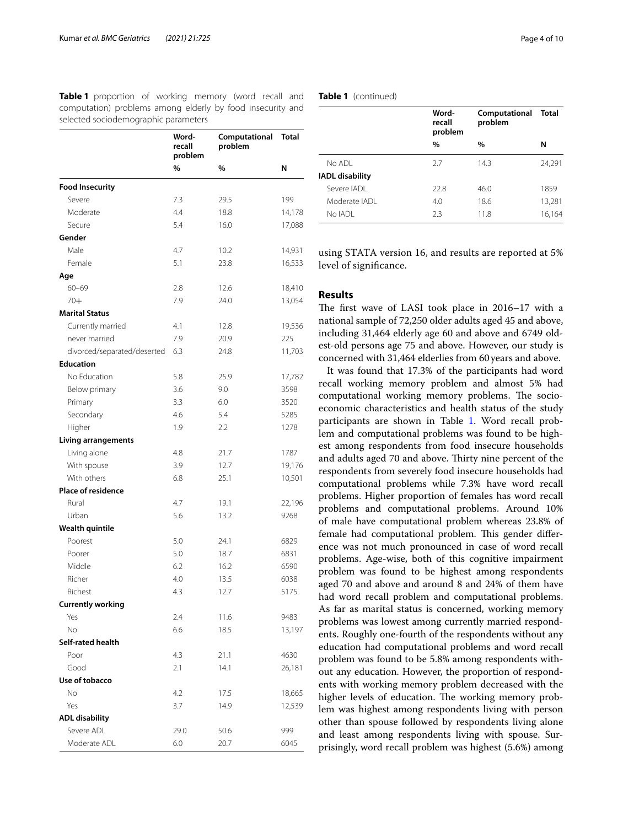<span id="page-3-0"></span>**Table 1** proportion of working memory (word recall and computation) problems among elderly by food insecurity and selected sociodemographic parameters

|                             | Word-<br>recall<br>problem<br>problem<br>%<br>% | Computational | <b>Total</b> |
|-----------------------------|-------------------------------------------------|---------------|--------------|
|                             |                                                 |               | N            |
| <b>Food Insecurity</b>      |                                                 |               |              |
| Severe                      | 7.3                                             | 29.5          | 199          |
| Moderate                    | 4.4                                             | 18.8          | 14,178       |
| Secure                      | 5.4                                             | 16.0          | 17,088       |
| Gender                      |                                                 |               |              |
| Male                        | 4.7                                             | 10.2          | 14,931       |
| Female                      | 5.1                                             | 23.8          | 16,533       |
| Age                         |                                                 |               |              |
| $60 - 69$                   | 2.8                                             | 12.6          | 18,410       |
| $70+$                       | 7.9                                             | 24.0          | 13,054       |
| <b>Marital Status</b>       |                                                 |               |              |
| Currently married           | 4.1                                             | 12.8          | 19,536       |
| never married               | 7.9                                             | 20.9          | 225          |
| divorced/separated/deserted | 6.3                                             | 24.8          | 11,703       |
| <b>Education</b>            |                                                 |               |              |
| No Education                | 5.8                                             | 25.9          | 17,782       |
| Below primary               | 3.6                                             | 9.0           | 3598         |
| Primary                     | 3.3                                             | 6.0           | 3520         |
| Secondary                   | 4.6                                             | 5.4           | 5285         |
| Higher                      | 1.9                                             | 2.2           | 1278         |
| <b>Living arrangements</b>  |                                                 |               |              |
| Living alone                | 4.8                                             | 21.7          | 1787         |
| With spouse                 | 3.9                                             | 12.7          | 19,176       |
| With others                 | 6.8                                             | 25.1          | 10,501       |
| <b>Place of residence</b>   |                                                 |               |              |
| Rural                       | 4.7                                             | 19.1          | 22,196       |
| Urban                       | 5.6                                             | 13.2          | 9268         |
| <b>Wealth quintile</b>      |                                                 |               |              |
| Poorest                     | 5.0                                             | 24.1          | 6829         |
| Poorer                      | 5.0                                             | 18.7          | 6831         |
| Middle                      | 6.2                                             | 16.2          | 6590         |
| Richer                      | 4.0                                             | 13.5          | 6038         |
| Richest                     | 4.3                                             | 12./          | 5175         |
| <b>Currently working</b>    |                                                 |               |              |
| Yes                         | 2.4                                             | 11.6          | 9483         |
| No                          | 6.6                                             | 18.5          | 13,197       |
| Self-rated health           |                                                 |               |              |
| Poor                        | 4.3                                             | 21.1          | 4630         |
| Good                        | 2.1                                             | 14.1          | 26,181       |
| Use of tobacco              |                                                 |               |              |
| No                          | 4.2                                             | 17.5          | 18,665       |
| Yes                         | 3.7                                             | 14.9          | 12,539       |
| <b>ADL disability</b>       |                                                 |               |              |
| Severe ADL                  | 29.0                                            | 50.6          | 999          |
| Moderate ADL                | 6.0                                             | 20.7          | 6045         |

|                        | Word-<br>recall<br>problem | Computational<br>problem | Total  |
|------------------------|----------------------------|--------------------------|--------|
|                        | $\%$                       | $\%$                     | N      |
| No ADI                 | 2.7                        | 14.3                     | 24.291 |
| <b>IADL</b> disability |                            |                          |        |
| Severe IADI            | 22.8                       | 46.0                     | 1859   |
| Moderate IADI          | 4.0                        | 18.6                     | 13,281 |
| No IADI                | 2.3                        | 11.8                     | 16,164 |

using STATA version 16, and results are reported at 5% level of signifcance.

## **Results**

The first wave of LASI took place in 2016–17 with a national sample of 72,250 older adults aged 45 and above, including 31,464 elderly age 60 and above and 6749 oldest-old persons age 75 and above. However, our study is concerned with 31,464 elderlies from 60years and above.

It was found that 17.3% of the participants had word recall working memory problem and almost 5% had computational working memory problems. The socioeconomic characteristics and health status of the study participants are shown in Table [1.](#page-3-0) Word recall problem and computational problems was found to be highest among respondents from food insecure households and adults aged 70 and above. Thirty nine percent of the respondents from severely food insecure households had computational problems while 7.3% have word recall problems. Higher proportion of females has word recall problems and computational problems. Around 10% of male have computational problem whereas 23.8% of female had computational problem. This gender difference was not much pronounced in case of word recall problems. Age-wise, both of this cognitive impairment problem was found to be highest among respondents aged 70 and above and around 8 and 24% of them have had word recall problem and computational problems. As far as marital status is concerned, working memory problems was lowest among currently married respondents. Roughly one-fourth of the respondents without any education had computational problems and word recall problem was found to be 5.8% among respondents without any education. However, the proportion of respondents with working memory problem decreased with the higher levels of education. The working memory problem was highest among respondents living with person other than spouse followed by respondents living alone and least among respondents living with spouse. Surprisingly, word recall problem was highest (5.6%) among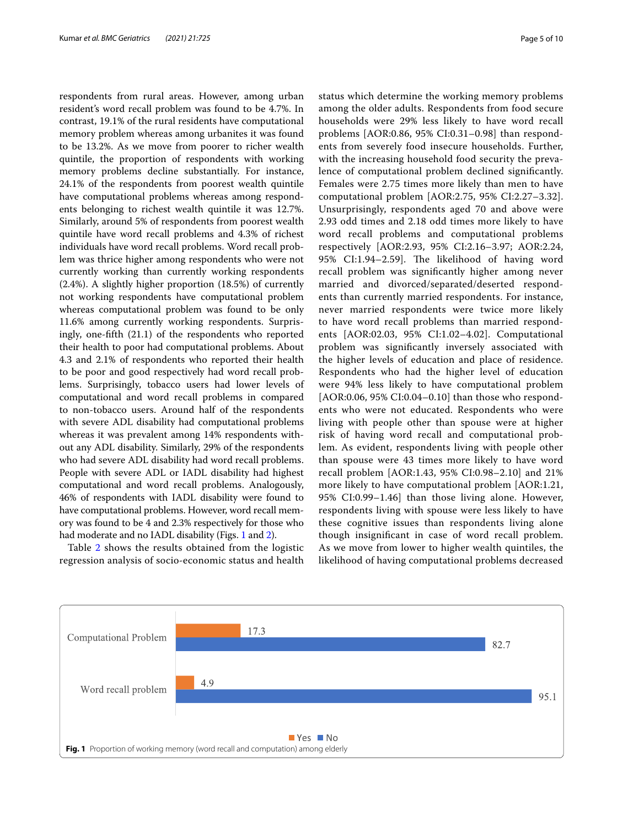respondents from rural areas. However, among urban resident's word recall problem was found to be 4.7%. In contrast, 19.1% of the rural residents have computational memory problem whereas among urbanites it was found to be 13.2%. As we move from poorer to richer wealth quintile, the proportion of respondents with working memory problems decline substantially. For instance, 24.1% of the respondents from poorest wealth quintile have computational problems whereas among respondents belonging to richest wealth quintile it was 12.7%. Similarly, around 5% of respondents from poorest wealth quintile have word recall problems and 4.3% of richest individuals have word recall problems. Word recall problem was thrice higher among respondents who were not currently working than currently working respondents (2.4%). A slightly higher proportion (18.5%) of currently not working respondents have computational problem whereas computational problem was found to be only 11.6% among currently working respondents. Surprisingly, one-ffth (21.1) of the respondents who reported their health to poor had computational problems. About 4.3 and 2.1% of respondents who reported their health to be poor and good respectively had word recall problems. Surprisingly, tobacco users had lower levels of computational and word recall problems in compared to non-tobacco users. Around half of the respondents with severe ADL disability had computational problems whereas it was prevalent among 14% respondents without any ADL disability. Similarly, 29% of the respondents who had severe ADL disability had word recall problems. People with severe ADL or IADL disability had highest computational and word recall problems. Analogously, 46% of respondents with IADL disability were found to have computational problems. However, word recall memory was found to be 4 and 2.3% respectively for those who had moderate and no IADL disability (Figs. [1](#page-4-0) and [2](#page-5-0)).

Table [2](#page-6-0) shows the results obtained from the logistic regression analysis of socio-economic status and health status which determine the working memory problems among the older adults. Respondents from food secure households were 29% less likely to have word recall problems [AOR:0.86, 95% CI:0.31–0.98] than respondents from severely food insecure households. Further, with the increasing household food security the prevalence of computational problem declined signifcantly. Females were 2.75 times more likely than men to have computational problem [AOR:2.75, 95% CI:2.27–3.32]. Unsurprisingly, respondents aged 70 and above were 2.93 odd times and 2.18 odd times more likely to have word recall problems and computational problems respectively [AOR:2.93, 95% CI:2.16–3.97; AOR:2.24, 95% CI:1.94-2.59]. The likelihood of having word recall problem was signifcantly higher among never married and divorced/separated/deserted respondents than currently married respondents. For instance, never married respondents were twice more likely to have word recall problems than married respondents [AOR:02.03, 95% CI:1.02–4.02]. Computational problem was signifcantly inversely associated with the higher levels of education and place of residence. Respondents who had the higher level of education were 94% less likely to have computational problem [AOR:0.06, 95% CI:0.04–0.10] than those who respondents who were not educated. Respondents who were living with people other than spouse were at higher risk of having word recall and computational problem. As evident, respondents living with people other than spouse were 43 times more likely to have word recall problem [AOR:1.43, 95% CI:0.98–2.10] and 21% more likely to have computational problem [AOR:1.21, 95% CI:0.99–1.46] than those living alone. However, respondents living with spouse were less likely to have these cognitive issues than respondents living alone though insignifcant in case of word recall problem. As we move from lower to higher wealth quintiles, the likelihood of having computational problems decreased

<span id="page-4-0"></span>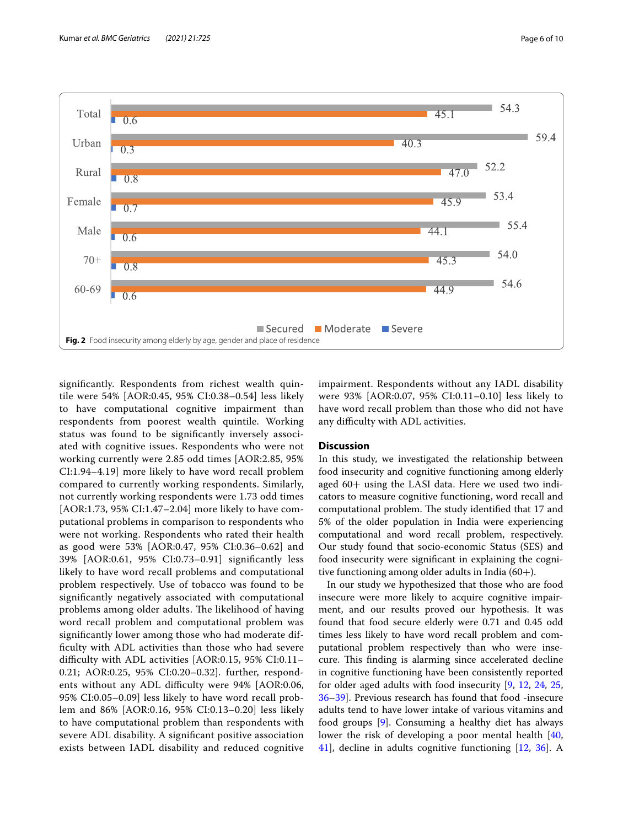

<span id="page-5-0"></span>signifcantly. Respondents from richest wealth quintile were 54% [AOR:0.45, 95% CI:0.38–0.54] less likely to have computational cognitive impairment than respondents from poorest wealth quintile. Working status was found to be signifcantly inversely associated with cognitive issues. Respondents who were not working currently were 2.85 odd times [AOR:2.85, 95% CI:1.94–4.19] more likely to have word recall problem compared to currently working respondents. Similarly, not currently working respondents were 1.73 odd times [AOR:1.73, 95% CI:1.47–2.04] more likely to have computational problems in comparison to respondents who were not working. Respondents who rated their health as good were 53% [AOR:0.47, 95% CI:0.36–0.62] and 39% [AOR:0.61, 95% CI:0.73–0.91] signifcantly less likely to have word recall problems and computational problem respectively. Use of tobacco was found to be signifcantly negatively associated with computational problems among older adults. The likelihood of having word recall problem and computational problem was signifcantly lower among those who had moderate diffculty with ADL activities than those who had severe difficulty with ADL activities [AOR:0.15, 95% CI:0.11-0.21; AOR:0.25, 95% CI:0.20–0.32]. further, respondents without any ADL difficulty were 94% [AOR:0.06, 95% CI:0.05–0.09] less likely to have word recall problem and 86% [AOR:0.16, 95% CI:0.13–0.20] less likely to have computational problem than respondents with severe ADL disability. A signifcant positive association exists between IADL disability and reduced cognitive impairment. Respondents without any IADL disability were 93% [AOR:0.07, 95% CI:0.11–0.10] less likely to have word recall problem than those who did not have any difficulty with ADL activities.

## **Discussion**

In this study, we investigated the relationship between food insecurity and cognitive functioning among elderly aged 60+ using the LASI data. Here we used two indicators to measure cognitive functioning, word recall and computational problem. The study identified that 17 and 5% of the older population in India were experiencing computational and word recall problem, respectively. Our study found that socio-economic Status (SES) and food insecurity were signifcant in explaining the cognitive functioning among older adults in India  $(60+)$ .

In our study we hypothesized that those who are food insecure were more likely to acquire cognitive impairment, and our results proved our hypothesis. It was found that food secure elderly were 0.71 and 0.45 odd times less likely to have word recall problem and computational problem respectively than who were insecure. This finding is alarming since accelerated decline in cognitive functioning have been consistently reported for older aged adults with food insecurity [\[9](#page-8-23), [12,](#page-8-7) [24,](#page-8-19) [25](#page-8-20), [36](#page-8-31)[–39](#page-8-32)]. Previous research has found that food -insecure adults tend to have lower intake of various vitamins and food groups [[9\]](#page-8-23). Consuming a healthy diet has always lower the risk of developing a poor mental health [[40](#page-8-33), [41\]](#page-8-34), decline in adults cognitive functioning [[12,](#page-8-7) [36\]](#page-8-31). A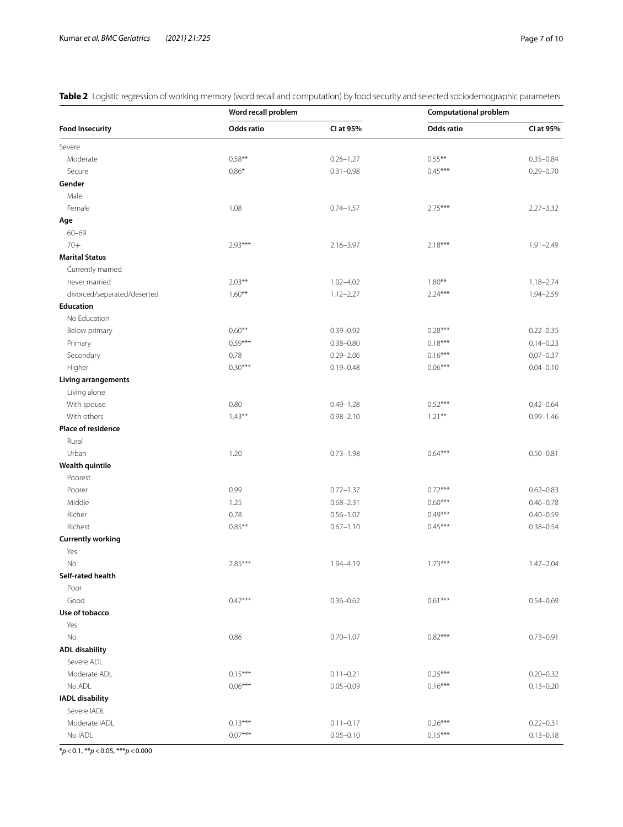<span id="page-6-0"></span>**Table 2** Logistic regression of working memory (word recall and computation) by food security and selected sociodemographic parameters

| <b>Food Insecurity</b>      | Word recall problem |               | <b>Computational problem</b> |               |
|-----------------------------|---------------------|---------------|------------------------------|---------------|
|                             | Odds ratio          | CI at 95%     | Odds ratio                   | CI at 95%     |
| Severe                      |                     |               |                              |               |
| Moderate                    | $0.58**$            | $0.26 - 1.27$ | $0.55***$                    | $0.35 - 0.84$ |
| Secure                      | $0.86*$             | $0.31 - 0.98$ | $0.45***$                    | $0.29 - 0.70$ |
| Gender                      |                     |               |                              |               |
| Male                        |                     |               |                              |               |
| Female                      | 1.08                | $0.74 - 1.57$ | $2.75***$                    | $2.27 - 3.32$ |
| Age                         |                     |               |                              |               |
| $60 - 69$                   |                     |               |                              |               |
| $70+$                       | $2.93***$           | $2.16 - 3.97$ | $2.18***$                    | $1.91 - 2.49$ |
| <b>Marital Status</b>       |                     |               |                              |               |
| Currently married           |                     |               |                              |               |
| never married               | $2.03***$           | $1.02 - 4.02$ | $1.80**$                     | $1.18 - 2.74$ |
| divorced/separated/deserted | $1.60***$           | $1.12 - 2.27$ | $2.24***$                    | 1.94-2.59     |
| <b>Education</b>            |                     |               |                              |               |
| No Education                |                     |               |                              |               |
| Below primary               | $0.60**$            | $0.39 - 0.92$ | $0.28***$                    | $0.22 - 0.35$ |
| Primary                     | $0.59***$           | $0.38 - 0.80$ | $0.18***$                    | $0.14 - 0.23$ |
| Secondary                   | 0.78                | $0.29 - 2.06$ | $0.16***$                    | $0.07 - 0.37$ |
| Higher                      | $0.30***$           | $0.19 - 0.48$ | $0.06***$                    | $0.04 - 0.10$ |
| <b>Living arrangements</b>  |                     |               |                              |               |
| Living alone                |                     |               |                              |               |
| With spouse                 | 0.80                | $0.49 - 1.28$ | $0.52***$                    | $0.42 - 0.64$ |
| With others                 | $1.43***$           | $0.98 - 2.10$ | $1.21***$                    | $0.99 - 1.46$ |
| Place of residence          |                     |               |                              |               |
| Rural                       |                     |               |                              |               |
| Urban                       | 1.20                | $0.73 - 1.98$ | $0.64***$                    | $0.50 - 0.81$ |
| <b>Wealth quintile</b>      |                     |               |                              |               |
| Poorest                     |                     |               |                              |               |
| Poorer                      | 0.99                | $0.72 - 1.37$ | $0.72***$                    | $0.62 - 0.83$ |
| Middle                      | 1.25                | $0.68 - 2.31$ | $0.60***$                    | $0.46 - 0.78$ |
| Richer                      | 0.78                | $0.56 - 1.07$ | $0.49***$                    | $0.40 - 0.59$ |
| Richest                     | $0.85**$            | $0.67 - 1.10$ | $0.45***$                    | $0.38 - 0.54$ |
| <b>Currently working</b>    |                     |               |                              |               |
| Yes                         |                     |               |                              |               |
|                             | $2.85***$           | 1.94-4.19     | $1.73***$                    |               |
| No<br>Self-rated health     |                     |               |                              | $1.47 - 2.04$ |
| Poor                        |                     |               |                              |               |
| Good                        | $0.47***$           | $0.36 - 0.62$ | $0.61***$                    | $0.54 - 0.69$ |
|                             |                     |               |                              |               |
| Use of tobacco              |                     |               |                              |               |
| Yes                         |                     |               |                              |               |
| No                          | 0.86                | $0.70 - 1.07$ | $0.82***$                    | $0.73 - 0.91$ |
| <b>ADL disability</b>       |                     |               |                              |               |
| Severe ADL                  |                     |               |                              |               |
| Moderate ADL                | $0.15***$           | $0.11 - 0.21$ | $0.25***$                    | $0.20 - 0.32$ |
| No ADL                      | $0.06***$           | $0.05 - 0.09$ | $0.16***$                    | $0.13 - 0.20$ |
| <b>IADL disability</b>      |                     |               |                              |               |
| Severe IADL                 |                     |               |                              |               |
| Moderate IADL               | $0.13***$           | $0.11 - 0.17$ | $0.26***$                    | $0.22 - 0.31$ |
| No IADL                     | $0.07***$           | $0.05 - 0.10$ | $0.15***$                    | $0.13 - 0.18$ |

\**p*<0.1, \*\**p*<0.05, \*\*\**p*<0.000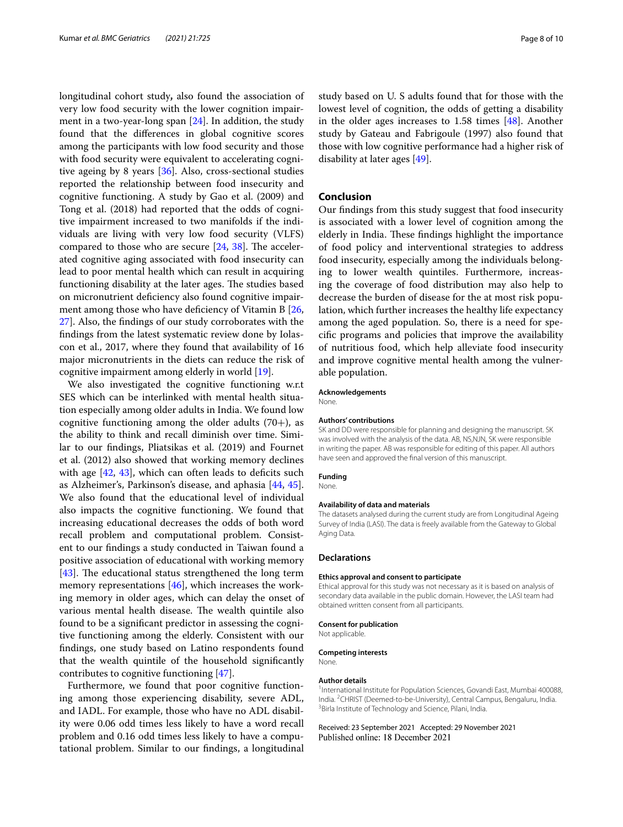longitudinal cohort study**,** also found the association of very low food security with the lower cognition impairment in a two-year-long span [\[24\]](#page-8-19). In addition, the study found that the diferences in global cognitive scores among the participants with low food security and those with food security were equivalent to accelerating cognitive ageing by 8 years [\[36](#page-8-31)]. Also, cross-sectional studies reported the relationship between food insecurity and cognitive functioning. A study by Gao et al. (2009) and Tong et al. (2018) had reported that the odds of cognitive impairment increased to two manifolds if the individuals are living with very low food security (VLFS) compared to those who are secure  $[24, 38]$  $[24, 38]$  $[24, 38]$  $[24, 38]$ . The accelerated cognitive aging associated with food insecurity can lead to poor mental health which can result in acquiring functioning disability at the later ages. The studies based on micronutrient defciency also found cognitive impairment among those who have deficiency of Vitamin B  $[26,$  $[26,$ [27\]](#page-8-36). Also, the fndings of our study corroborates with the fndings from the latest systematic review done by Iolascon et al., 2017, where they found that availability of 16 major micronutrients in the diets can reduce the risk of cognitive impairment among elderly in world [\[19](#page-8-14)].

We also investigated the cognitive functioning w.r.t SES which can be interlinked with mental health situation especially among older adults in India. We found low cognitive functioning among the older adults  $(70+)$ , as the ability to think and recall diminish over time. Similar to our fndings, Pliatsikas et al. (2019) and Fournet et al. (2012) also showed that working memory declines with age  $[42, 43]$  $[42, 43]$  $[42, 43]$ , which can often leads to deficits such as Alzheimer's, Parkinson's disease, and aphasia [\[44](#page-8-39), [45](#page-8-40)]. We also found that the educational level of individual also impacts the cognitive functioning. We found that increasing educational decreases the odds of both word recall problem and computational problem. Consistent to our fndings a study conducted in Taiwan found a positive association of educational with working memory [[43\]](#page-8-38). The educational status strengthened the long term memory representations [[46\]](#page-8-41), which increases the working memory in older ages, which can delay the onset of various mental health disease. The wealth quintile also found to be a signifcant predictor in assessing the cognitive functioning among the elderly. Consistent with our fndings, one study based on Latino respondents found that the wealth quintile of the household signifcantly contributes to cognitive functioning [[47\]](#page-9-0).

Furthermore, we found that poor cognitive functioning among those experiencing disability, severe ADL, and IADL. For example, those who have no ADL disability were 0.06 odd times less likely to have a word recall problem and 0.16 odd times less likely to have a computational problem. Similar to our fndings, a longitudinal study based on U. S adults found that for those with the lowest level of cognition, the odds of getting a disability in the older ages increases to 1.58 times [[48\]](#page-9-1). Another study by Gateau and Fabrigoule (1997) also found that those with low cognitive performance had a higher risk of disability at later ages [\[49](#page-9-2)].

#### **Conclusion**

Our fndings from this study suggest that food insecurity is associated with a lower level of cognition among the elderly in India. These findings highlight the importance of food policy and interventional strategies to address food insecurity, especially among the individuals belonging to lower wealth quintiles. Furthermore, increasing the coverage of food distribution may also help to decrease the burden of disease for the at most risk population, which further increases the healthy life expectancy among the aged population. So, there is a need for specifc programs and policies that improve the availability of nutritious food, which help alleviate food insecurity and improve cognitive mental health among the vulnerable population.

#### **Acknowledgements**

**None** 

#### **Authors' contributions**

SK and DD were responsible for planning and designing the manuscript. SK was involved with the analysis of the data. AB, NS,NJN, SK were responsible in writing the paper. AB was responsible for editing of this paper. All authors have seen and approved the fnal version of this manuscript.

### **Funding**

None.

#### **Availability of data and materials**

The datasets analysed during the current study are from Longitudinal Ageing Survey of India (LASI). The data is freely available from the Gateway to Global Aging Data.

#### **Declarations**

#### **Ethics approval and consent to participate**

Ethical approval for this study was not necessary as it is based on analysis of secondary data available in the public domain. However, the LASI team had obtained written consent from all participants.

# **Consent for publication**

Not applicable.

#### **Competing interests**

None.

#### **Author details**

<sup>1</sup>International Institute for Population Sciences, Govandi East, Mumbai 400088, India. <sup>2</sup>CHRIST (Deemed-to-be-University), Central Campus, Bengaluru, India.<br><sup>3</sup>Birla Institute of Technology and Science Pilani India. Birla Institute of Technology and Science, Pilani, India.

Received: 23 September 2021 Accepted: 29 November 2021Published online: 18 December 2021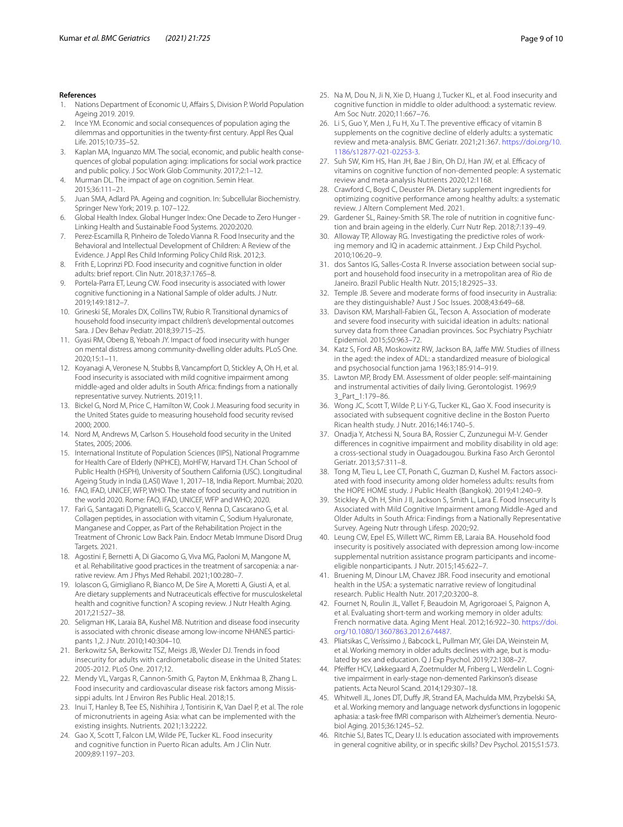#### **References**

- <span id="page-8-0"></span>1. Nations Department of Economic U, Affairs S, Division P. World Population Ageing 2019. 2019.
- <span id="page-8-1"></span>2. Ince YM. Economic and social consequences of population aging the dilemmas and opportunities in the twenty-frst century. Appl Res Qual Life. 2015;10:735–52.
- <span id="page-8-2"></span>3. Kaplan MA, Inguanzo MM. The social, economic, and public health consequences of global population aging: implications for social work practice and public policy. J Soc Work Glob Community. 2017;2:1–12.
- <span id="page-8-3"></span>4. Murman DL. The impact of age on cognition. Semin Hear. 2015;36:111–21.
- <span id="page-8-4"></span>5. Juan SMA, Adlard PA. Ageing and cognition. In: Subcellular Biochemistry. Springer New York; 2019. p. 107–122.
- <span id="page-8-5"></span>6. Global Health Index. Global Hunger Index: One Decade to Zero Hunger - Linking Health and Sustainable Food Systems. 2020:2020.
- <span id="page-8-6"></span>7. Perez-Escamilla R, Pinheiro de Toledo Vianna R. Food Insecurity and the Behavioral and Intellectual Development of Children: A Review of the Evidence. J Appl Res Child Informing Policy Child Risk. 2012;3.
- <span id="page-8-12"></span>8. Frith E, Loprinzi PD. Food insecurity and cognitive function in older adults: brief report. Clin Nutr. 2018;37:1765–8.
- <span id="page-8-23"></span>9. Portela-Parra ET, Leung CW. Food insecurity is associated with lower cognitive functioning in a National Sample of older adults. J Nutr. 2019;149:1812–7.
- <span id="page-8-24"></span>10. Grineski SE, Morales DX, Collins TW, Rubio R. Transitional dynamics of household food insecurity impact children's developmental outcomes Sara. J Dev Behav Pediatr. 2018;39:715–25.
- <span id="page-8-18"></span>11. Gyasi RM, Obeng B, Yeboah JY. Impact of food insecurity with hunger on mental distress among community-dwelling older adults. PLoS One. 2020;15:1–11.
- <span id="page-8-7"></span>12. Koyanagi A, Veronese N, Stubbs B, Vancampfort D, Stickley A, Oh H, et al. Food insecurity is associated with mild cognitive impairment among middle-aged and older adults in South Africa: fndings from a nationally representative survey. Nutrients. 2019;11.
- <span id="page-8-8"></span>13. Bickel G, Nord M, Price C, Hamilton W, Cook J. Measuring food security in the United States guide to measuring household food security revised 2000; 2000.
- <span id="page-8-9"></span>14. Nord M, Andrews M, Carlson S. Household food security in the United States, 2005; 2006.
- <span id="page-8-10"></span>15. International Institute of Population Sciences (IIPS), National Programme for Health Care of Elderly (NPHCE), MoHFW, Harvard T.H. Chan School of Public Health (HSPH), University of Southern California (USC). Longitudinal Ageing Study in India (LASI) Wave 1, 2017–18, India Report. Mumbai; 2020.
- <span id="page-8-11"></span>16. FAO, IFAD, UNICEF, WFP, WHO. The state of food security and nutrition in the world 2020. Rome: FAO, IFAD, UNICEF, WFP and WHO; 2020.
- <span id="page-8-13"></span>17. Farì G, Santagati D, Pignatelli G, Scacco V, Renna D, Cascarano G, et al. Collagen peptides, in association with vitamin C, Sodium Hyaluronate, Manganese and Copper, as Part of the Rehabilitation Project in the Treatment of Chronic Low Back Pain. Endocr Metab Immune Disord Drug Targets. 2021.
- 18. Agostini F, Bernetti A, Di Giacomo G, Viva MG, Paoloni M, Mangone M, et al. Rehabilitative good practices in the treatment of sarcopenia: a narrative review. Am J Phys Med Rehabil. 2021;100:280–7.
- <span id="page-8-14"></span>19. Iolascon G, Gimigliano R, Bianco M, De Sire A, Moretti A, Giusti A, et al. Are dietary supplements and Nutraceuticals efective for musculoskeletal health and cognitive function? A scoping review. J Nutr Health Aging. 2017;21:527–38.
- <span id="page-8-15"></span>20. Seligman HK, Laraia BA, Kushel MB. Nutrition and disease food insecurity is associated with chronic disease among low-income NHANES participants 1,2. J Nutr. 2010;140:304–10.
- <span id="page-8-16"></span>21. Berkowitz SA, Berkowitz TSZ, Meigs JB, Wexler DJ. Trends in food insecurity for adults with cardiometabolic disease in the United States: 2005-2012. PLoS One. 2017;12.
- 22. Mendy VL, Vargas R, Cannon-Smith G, Payton M, Enkhmaa B, Zhang L. Food insecurity and cardiovascular disease risk factors among Mississippi adults. Int J Environ Res Public Heal. 2018;15.
- <span id="page-8-17"></span>23. Inui T, Hanley B, Tee ES, Nishihira J, Tontisirin K, Van Dael P, et al. The role of micronutrients in ageing Asia: what can be implemented with the existing insights. Nutrients. 2021;13:2222.
- <span id="page-8-19"></span>24. Gao X, Scott T, Falcon LM, Wilde PE, Tucker KL. Food insecurity and cognitive function in Puerto Rican adults. Am J Clin Nutr. 2009;89:1197–203.
- <span id="page-8-20"></span>25. Na M, Dou N, Ji N, Xie D, Huang J, Tucker KL, et al. Food insecurity and cognitive function in middle to older adulthood: a systematic review. Am Soc Nutr. 2020;11:667–76.
- <span id="page-8-21"></span>26. Li S, Guo Y, Men J, Fu H, Xu T. The preventive efficacy of vitamin B supplements on the cognitive decline of elderly adults: a systematic review and meta-analysis. BMC Geriatr. 2021;21:367. [https://doi.org/10.](https://doi.org/10.1186/s12877-021-02253-3) [1186/s12877-021-02253-3](https://doi.org/10.1186/s12877-021-02253-3).
- <span id="page-8-36"></span>27. Suh SW, Kim HS, Han JH, Bae J Bin, Oh DJ, Han JW, et al. Efficacy of vitamins on cognitive function of non-demented people: A systematic review and meta-analysis Nutrients 2020;12:1168.
- <span id="page-8-22"></span>28. Crawford C, Boyd C, Deuster PA. Dietary supplement ingredients for optimizing cognitive performance among healthy adults: a systematic review. J Altern Complement Med. 2021.
- <span id="page-8-25"></span>29. Gardener SL, Rainey-Smith SR. The role of nutrition in cognitive function and brain ageing in the elderly. Curr Nutr Rep. 2018;7:139–49.
- <span id="page-8-26"></span>30. Alloway TP, Alloway RG. Investigating the predictive roles of working memory and IQ in academic attainment. J Exp Child Psychol. 2010;106:20–9.
- <span id="page-8-27"></span>31. dos Santos IG, Salles-Costa R. Inverse association between social support and household food insecurity in a metropolitan area of Rio de Janeiro. Brazil Public Health Nutr. 2015;18:2925–33.
- 32. Temple JB. Severe and moderate forms of food insecurity in Australia: are they distinguishable? Aust J Soc Issues. 2008;43:649–68.
- <span id="page-8-28"></span>33. Davison KM, Marshall-Fabien GL, Tecson A. Association of moderate and severe food insecurity with suicidal ideation in adults: national survey data from three Canadian provinces. Soc Psychiatry Psychiatr Epidemiol. 2015;50:963–72.
- <span id="page-8-29"></span>34. Katz S, Ford AB, Moskowitz RW, Jackson BA, Jafe MW. Studies of illness in the aged: the index of ADL: a standardized measure of biological and psychosocial function jama 1963;185:914–919.
- <span id="page-8-30"></span>35. Lawton MP, Brody EM. Assessment of older people: self-maintaining and instrumental activities of daily living. Gerontologist. 1969;9 3\_Part\_1:179–86.
- <span id="page-8-31"></span>36. Wong JC, Scott T, Wilde P, Li Y-G, Tucker KL, Gao X. Food insecurity is associated with subsequent cognitive decline in the Boston Puerto Rican health study. J Nutr. 2016;146:1740–5.
- 37. Onadja Y, Atchessi N, Soura BA, Rossier C, Zunzunegui M-V. Gender diferences in cognitive impairment and mobility disability in old age: a cross-sectional study in Ouagadougou. Burkina Faso Arch Gerontol Geriatr. 2013;57:311–8.
- <span id="page-8-35"></span>38. Tong M, Tieu L, Lee CT, Ponath C, Guzman D, Kushel M. Factors associated with food insecurity among older homeless adults: results from the HOPE HOME study. J Public Health (Bangkok). 2019;41:240–9.
- <span id="page-8-32"></span>39. Stickley A, Oh H, Shin J Il, Jackson S, Smith L, Lara E. Food Insecurity Is Associated with Mild Cognitive Impairment among Middle-Aged and Older Adults in South Africa: Findings from a Nationally Representative Survey. Ageing Nutr through Lifesp. 2020;:92.
- <span id="page-8-33"></span>40. Leung CW, Epel ES, Willett WC, Rimm EB, Laraia BA. Household food insecurity is positively associated with depression among low-income supplemental nutrition assistance program participants and incomeeligible nonparticipants. J Nutr. 2015;145:622–7.
- <span id="page-8-34"></span>41. Bruening M, Dinour LM, Chavez JBR. Food insecurity and emotional health in the USA: a systematic narrative review of longitudinal research. Public Health Nutr. 2017;20:3200–8.
- <span id="page-8-37"></span>42. Fournet N, Roulin JL, Vallet F, Beaudoin M, Agrigoroaei S, Paignon A, et al. Evaluating short-term and working memory in older adults: French normative data. Aging Ment Heal. 2012;16:922–30. [https://doi.](https://doi.org/10.1080/13607863.2012.674487) [org/10.1080/13607863.2012.674487](https://doi.org/10.1080/13607863.2012.674487).
- <span id="page-8-38"></span>43. Pliatsikas C, Veríssimo J, Babcock L, Pullman MY, Glei DA, Weinstein M, et al. Working memory in older adults declines with age, but is modulated by sex and education. Q J Exp Psychol. 2019;72:1308–27.
- <span id="page-8-39"></span>44. Pfeifer HCV, Løkkegaard A, Zoetmulder M, Friberg L, Werdelin L. Cognitive impairment in early-stage non-demented Parkinson's disease patients. Acta Neurol Scand. 2014;129:307–18.
- <span id="page-8-40"></span>45. Whitwell JL, Jones DT, Dufy JR, Strand EA, Machulda MM, Przybelski SA, et al. Working memory and language network dysfunctions in logopenic aphasia: a task-free fMRI comparison with Alzheimer's dementia. Neurobiol Aging. 2015;36:1245–52.
- <span id="page-8-41"></span>46. Ritchie SJ, Bates TC, Deary IJ. Is education associated with improvements in general cognitive ability, or in specifc skills? Dev Psychol. 2015;51:573.